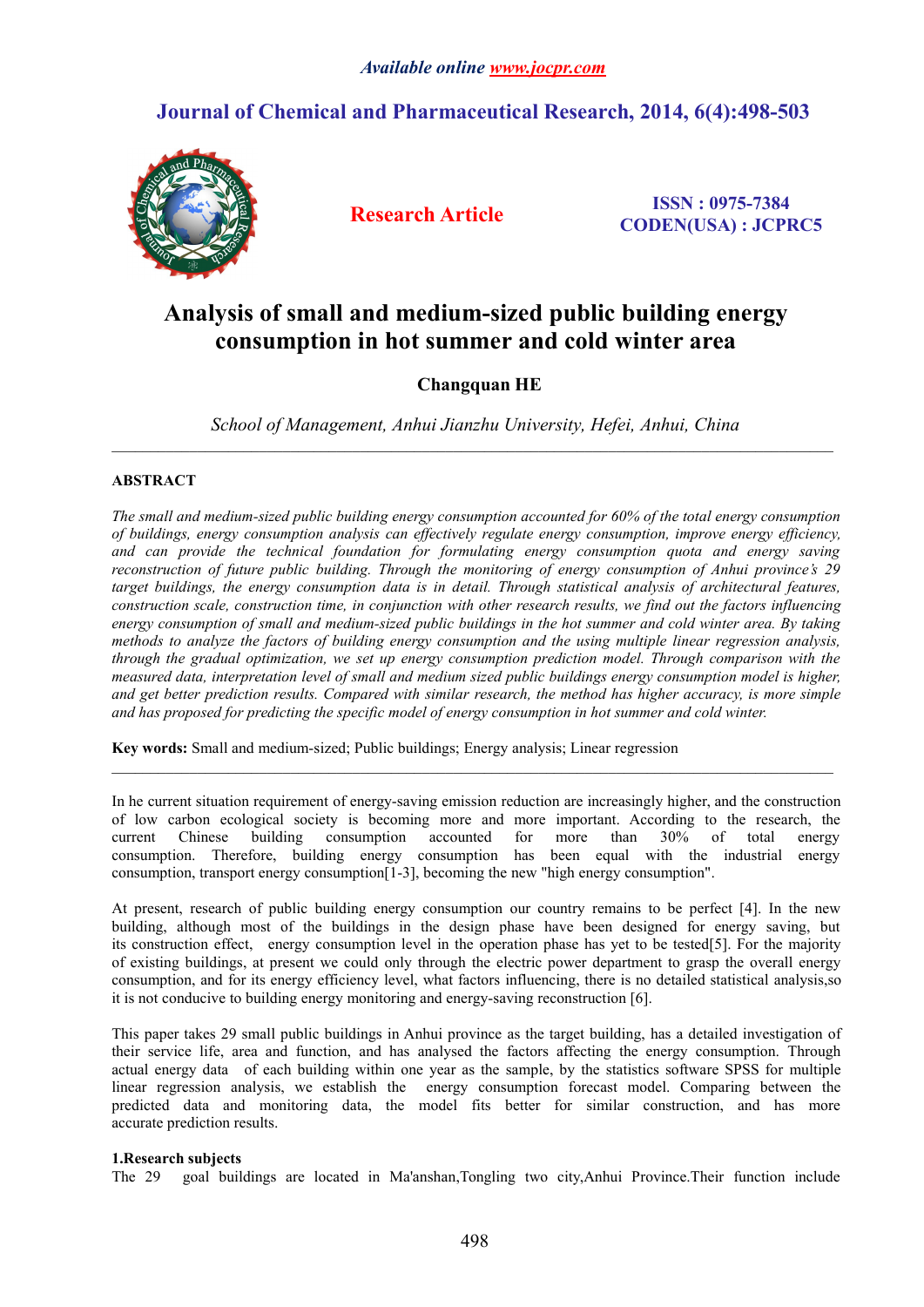# **Journal of Chemical and Pharmaceutical Research, 2014, 6(4):498-503**



**Research Article ISSN : 0975-7384 CODEN(USA) : JCPRC5**

# **Analysis of small and medium-sized public building energy consumption in hot summer and cold winter area**

# **Changquan HE**

 $\mathcal{L}_\mathcal{L} = \mathcal{L}_\mathcal{L}$ 

 $\_$  ,  $\_$  ,  $\_$  ,  $\_$  ,  $\_$  ,  $\_$  ,  $\_$  ,  $\_$  ,  $\_$  ,  $\_$  ,  $\_$  ,  $\_$  ,  $\_$  ,  $\_$  ,  $\_$  ,  $\_$  ,  $\_$  ,  $\_$  ,  $\_$  ,  $\_$  ,  $\_$  ,  $\_$  ,  $\_$  ,  $\_$  ,  $\_$  ,  $\_$  ,  $\_$  ,  $\_$  ,  $\_$  ,  $\_$  ,  $\_$  ,  $\_$  ,  $\_$  ,  $\_$  ,  $\_$  ,  $\_$  ,  $\_$  ,

*School of Management, Anhui Jianzhu University, Hefei, Anhui, China*

## **ABSTRACT**

*The small and medium-sized public building energy consumption accounted for 60% of the total energy consumption of buildings, energy consumption analysis can effectively regulate energy consumption, improve energy efficiency, and can provide the technical foundation for formulating energy consumption quota and energy saving reconstruction of future public building. Through the monitoring of energy consumption of Anhui province's 29 target buildings, the energy consumption data is in detail. Through statistical analysis of architectural features,* construction scale, construction time, in conjunction with other research results, we find out the factors influencing energy consumption of small and medium-sized public buildings in the hot summer and cold winter area. By taking *methods to analyze the factors of building energy consumption and the using multiple linear regression analysis, through the gradual optimization, we set up energy consumption prediction model. Through comparison with the* measured data, interpretation level of small and medium sized public buildings energy consumption model is higher, and get better prediction results. Compared with similar research, the method has higher accuracy, is more simple *and has proposed for predicting the specific model of energy consumption in hot summer and cold winter.*

**Key words:**Small and medium-sized; Public buildings; Energy analysis; Linear regression

In he current situation requirement of energy-saving emission reduction are increasingly higher, and the construction of low carbon ecological society is becoming more and more important. According to the research, the current Chinese building consumption accounted for more than 30% of total energy consumption. Therefore, building energy consumption has been equal with the industrial energy consumption, transport energy consumption[1-3], becoming the new "high energy consumption".

At present, research of public building energy consumption our country remains to be perfect [4]. In the new building, although most of the buildings in the design phase have been designed for energy saving, but its construction effect, energy consumption level in the operation phase has yet to be tested[5]. For the majority of existing buildings, at present we could only through the electric power department to grasp the overallenergy consumption, and for its energy efficiency level, what factors influencing, there is no detailed statistical analysis, so it is not conducive to building energy monitoring and energy-saving reconstruction [6].

This paper takes 29 small public buildings in Anhui province as the target building, has a detailed investigation of their service life, area and function, and has analysed the factors affecting the energy consumption. Through actual energy data of each building within one year as the sample, by the statistics software SPSS for multiple linear regression analysis, we establish the energy consumption forecast model. Comparing between the predicted data and monitoring data, the model fits better for similar construction, and has more accurate prediction results.

## **1.Research subjects**

The 29 goal buildings are located in Ma'anshan,Tongling two city,Anhui Province.Their function include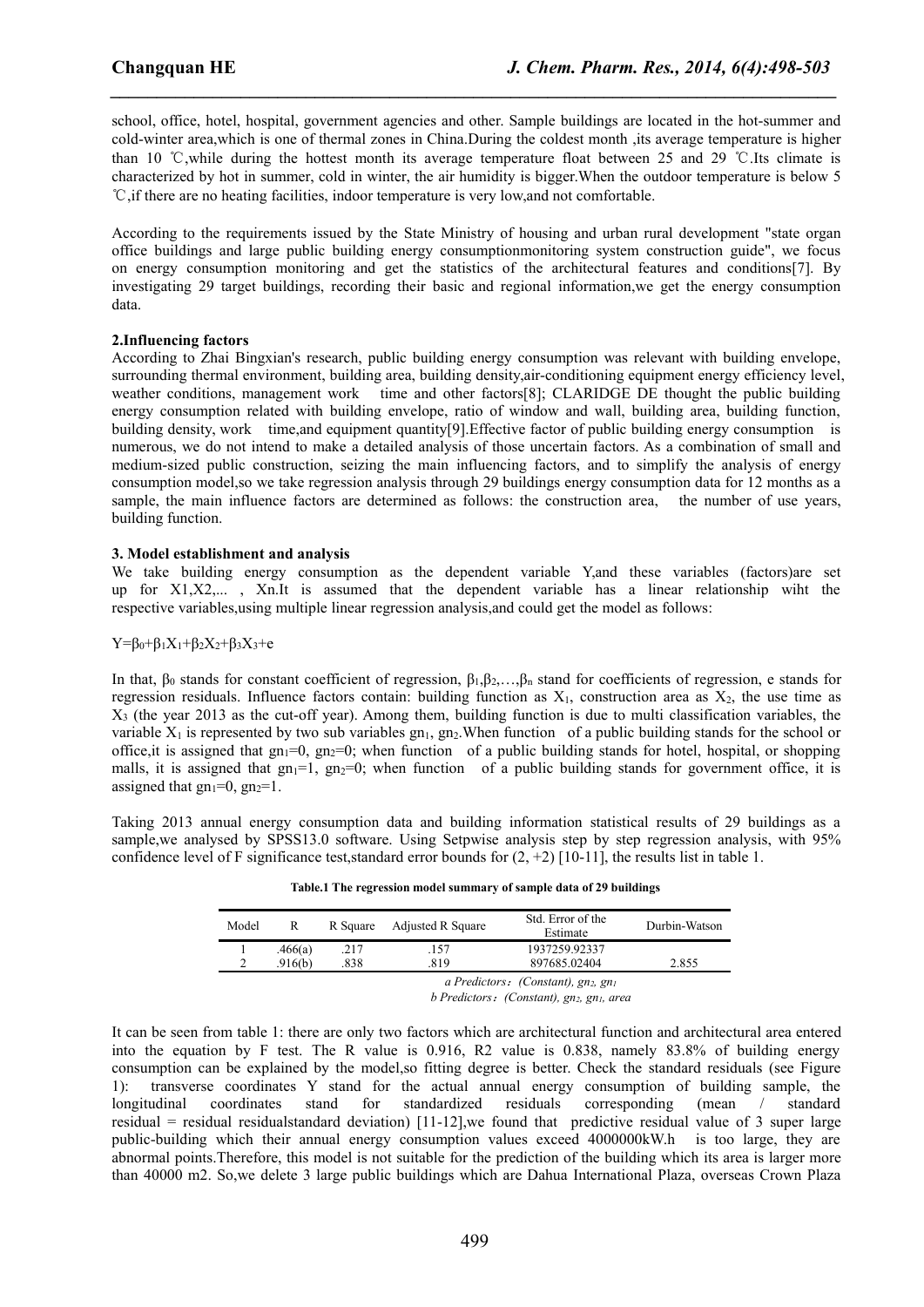school, office, hotel, hospital, government agencies and other. Sample buildings are located in the hot-summer and cold-winter area,which is one of thermal zones in China.During the coldestmonth ,its average temperature is higher than 10 ℃,while during the hottestmonth its average temperature float between 25 and 29 ℃.Its climate is characterized by hot in summer, cold in winter, the air humidity is bigger. When the outdoor temperature is below 5 ℃,if there are no heating facilities, indoor temperature is very low,and not comfortable.

*\_\_\_\_\_\_\_\_\_\_\_\_\_\_\_\_\_\_\_\_\_\_\_\_\_\_\_\_\_\_\_\_\_\_\_\_\_\_\_\_\_\_\_\_\_\_\_\_\_\_\_\_\_\_\_\_\_\_\_\_\_\_\_\_\_\_\_\_\_\_\_\_\_\_\_\_\_\_*

According to the requirements issued by the State Ministry of housing and urban rural development "state organ office buildings and large public building energy consumptionmonitoring system construction guide", we focus on energy consumption monitoring and get the statistics of the architectural features and conditions[7]. By investigating 29 target buildings, recording their basic and regional information,we get the energy consumption data.

#### **2.Influencing factors**

According to Zhai Bingxian's research, public building energy consumption was relevant with building envelope, surrounding thermal environment, building area, building density,air-conditioning equipment energy efficiency level, weather conditions, management work time and other factors[8]; CLARIDGE DE thought the public building energy consumption related with building envelope, ratio of window and wall, building area, building function, building density, work time,and equipment quantity[9].Effective factor of public building energy consumption is numerous, we do not intend to make a detailed analysis of those uncertain factors. As a combination of small and medium-sized public construction, seizing the main influencing factors, and to simplify the analysis of energy consumption model,so we take regression analysis through 29 buildings energy consumption data for 12 months as a sample, the main influence factors are determined as follows: the construction area, the number of use years, building function.

#### **3. Model establishment and analysis**

We take building energy consumption as the dependent variable Y, and these variables (factors) are set up for X1,X2,... , Xn.It is assumed that the dependent variable has a linear relationship wiht the respective variables,using multiple linear regression analysis,and could get the model as follows:

#### $Y = \beta_0 + \beta_1 X_1 + \beta_2 X_2 + \beta_3 X_3 + e$

In that,  $\beta_0$  stands for constant coefficient of regression,  $\beta_1, \beta_2, \ldots, \beta_n$  stand for coefficients of regression, e stands for regression residuals. Influence factors contain: building function as  $X_1$ , construction area as  $X_2$ , the use time as  $X<sub>3</sub>$  (the year 2013 as the cut-off year). Among them, building function is due to multi classification variables, the variable  $X_1$  is represented by two sub variables gn<sub>1</sub>, gn<sub>2</sub>. When function of a public building stands for the school or office, it is assigned that  $gn_1=0$ ,  $gn_2=0$ ; when function of a public building stands for hotel, hospital, or shopping malls, it is assigned that  $gn_1=1$ ,  $gn_2=0$ ; when function of a public building stands for government office, it is assigned that  $gn_1=0$ ,  $gn_2=1$ .

Taking 2013 annual energy consumption data and building information statistical results of 29 buildings as a sample, we analysed by SPSS13.0 software. Using Setpwise analysis step by step regression analysis, with 95% confidence level of F significance test, standard error bounds for  $(2, +2)$  [10-11], the results list in table 1.

| Table.1 The regression model summary of sample data of 29 buildings |  |  |  |  |
|---------------------------------------------------------------------|--|--|--|--|
|---------------------------------------------------------------------|--|--|--|--|

| Model | R       | R Square Adjusted R Square |      | Std. Error of the<br>Estimate      | Durbin-Watson |  |
|-------|---------|----------------------------|------|------------------------------------|---------------|--|
|       | .466(a) | .217                       | .157 | 1937259.92337                      |               |  |
|       | .916(b) | .838                       | 819  | 897685.02404                       | 2.855         |  |
|       |         |                            |      | a Predictors: (Constant), gn2, gn1 |               |  |

*b Predictors*:*(Constant), gn2, gn1, area*

It can be seen from table 1: there are only two factors which are architectural function and architectural area entered into the equation by F test. The R value is 0.916, R2 value is 0.838, namely 83.8% of building energy consumption can be explained by the model,so fitting degree is better. Check the standard residuals (see Figure 1): transverse coordinates Y stand for the actual annual energy consumption of building sample, the longitudinal coordinates stand for standardized residuals corresponding (mean / standard residual = residual residualstandard deviation)  $[11-12]$ , we found that predictive residual value of 3 super large public-building which their annual energy consumption values exceed 4000000kW.h is too large, they are abnormal points. Therefore, this model is not suitable for the prediction of the building which its area is larger more than 40000 m2.So,we delete 3 large public buildings which are Dahua International Plaza, overseas Crown Plaza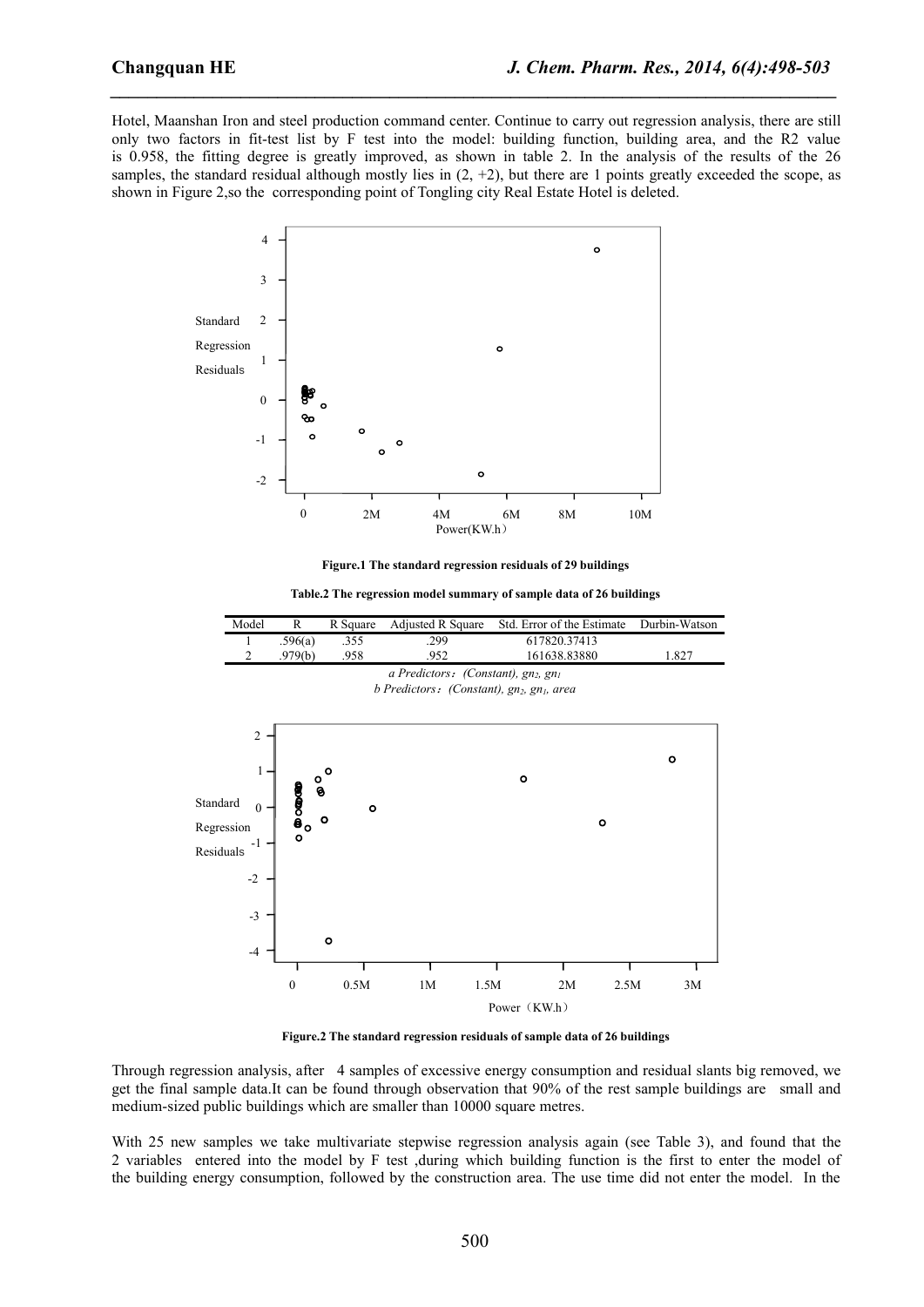Hotel, Maanshan Iron and steel production command center. Continue to carry out regression analysis, there are still only two factors in fit-test list by F test into the model: building function, building area, and the R2 value is 0.958, the fitting degree is greatly improved, as shown in table 2. In the analysis of the results of the 26 samples, the standard residual although mostly lies in  $(2, +2)$ , but there are 1 points greatly exceeded the scope, as shown in Figure 2,so the corresponding point of Tongling city Real Estate Hotel is deleted.

*\_\_\_\_\_\_\_\_\_\_\_\_\_\_\_\_\_\_\_\_\_\_\_\_\_\_\_\_\_\_\_\_\_\_\_\_\_\_\_\_\_\_\_\_\_\_\_\_\_\_\_\_\_\_\_\_\_\_\_\_\_\_\_\_\_\_\_\_\_\_\_\_\_\_\_\_\_\_*



**Figure.1 The standard regression residuals of29 buildings**

**Table.2 The regression model summary of sample data of 26 buildings**



**Figure.2 The standard regression residuals ofsample data of 26 buildings**

Through regression analysis, after 4 samples of excessive energy consumption and residual slants big removed, we get the final sample data.It can be found through observation that 90% of the rest sample buildings are smalland medium-sized public buildings which are smaller than 10000 square metres.

With 25 new samples we take multivariate stepwise regression analysis again (see Table 3), and found that the 2 variables entered into the model by F test ,during which building function is the first to enter the model of the building energy consumption, followed by the construction area. The use time did not enter the model. In the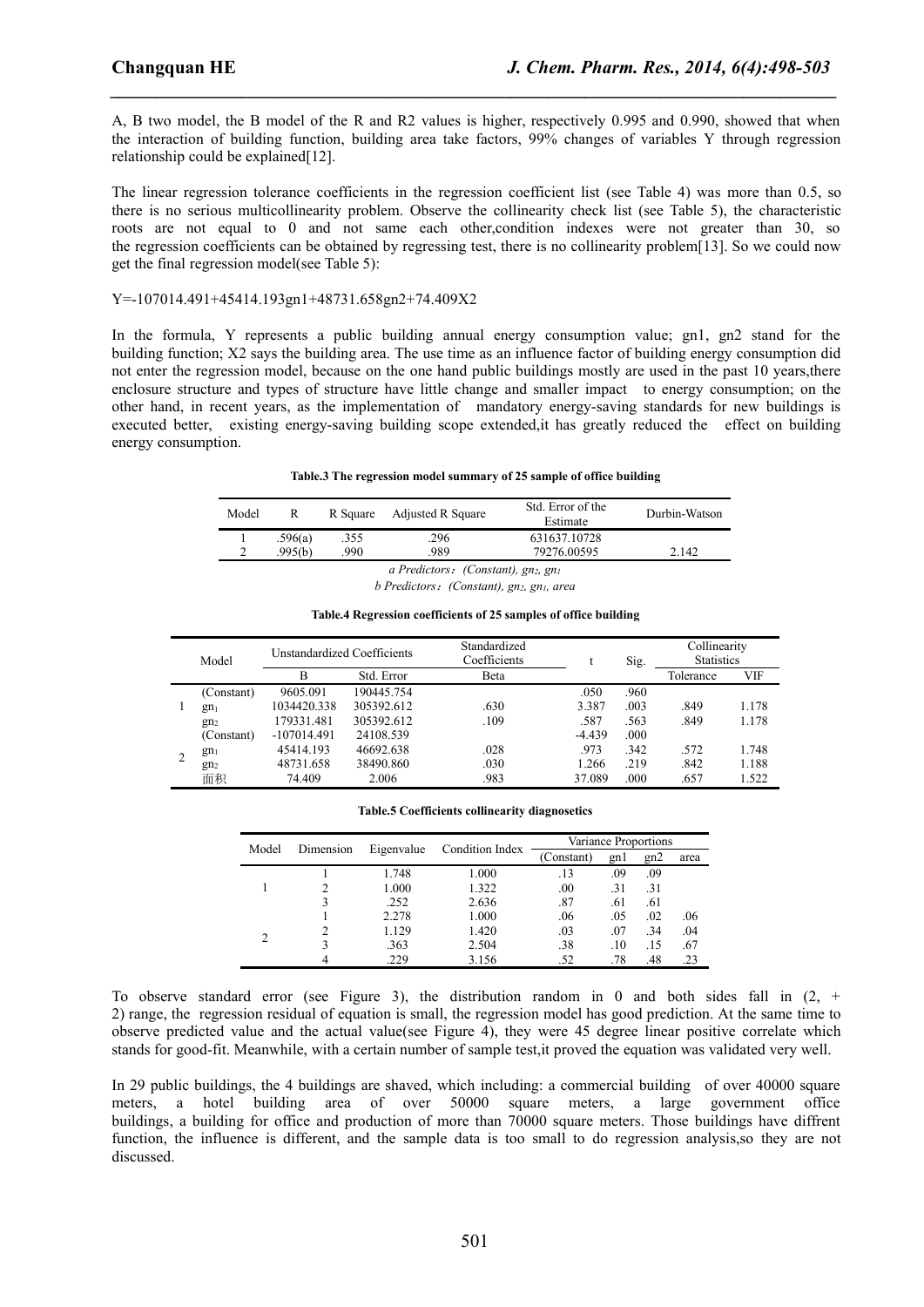A, B two model, the B model of the R and R2 values is higher, respectively 0.995 and 0.990, showed that when the interaction of building function, building area take factors, 99% changes of variables Y through regression relationship could be explained[12].

*\_\_\_\_\_\_\_\_\_\_\_\_\_\_\_\_\_\_\_\_\_\_\_\_\_\_\_\_\_\_\_\_\_\_\_\_\_\_\_\_\_\_\_\_\_\_\_\_\_\_\_\_\_\_\_\_\_\_\_\_\_\_\_\_\_\_\_\_\_\_\_\_\_\_\_\_\_\_*

The linear regression tolerance coefficients in the regression coefficient list (see Table 4) was more than 0.5, so there is no serious multicollinearity problem. Observe the collinearity check list (see Table 5), the characteristic roots are not equal to 0 and not same each other, condition indexes were not greater than 30, so the regression coefficients can be obtained by regressing test, there is no collinearity problem[13]. So we could now get the final regression model(see Table 5):

#### Y=-107014.491+45414.193gn1+48731.658gn2+74.409X2

In the formula, Y represents a public building annual energy consumption value; gn1, gn2 stand for the building function; X2 says the building area. The use time as an influence factor of building energy consumption did not enter the regression model, because on the one hand public buildings mostly are used in the past 10 years,there enclosure structure and types of structure have little change and smaller impact to energy consumption; on the other hand, in recent years, as the implementation of mandatory energy-saving standards for new buildings is executed better, existing energy-saving building scope extended,it has greatly reduced the effect on building energy consumption.

#### **Table.3 The regression model summary of 25 sample of office building**

| Model | R       | R Square | Adjusted R Square                                                                          | Std. Error of the<br>Estimate | Durbin-Watson |
|-------|---------|----------|--------------------------------------------------------------------------------------------|-------------------------------|---------------|
|       | .596(a) | .355     | .296                                                                                       | 631637.10728                  |               |
| ∼     | .995(b) | 990      | .989                                                                                       | 79276.00595                   | 2.142         |
|       |         |          | $\mathbf{D}$ $\mathbf{P}$ $\mathbf{C}$ $\mathbf{C}$ $\mathbf{C}$ $\mathbf{D}$ $\mathbf{C}$ |                               |               |

*a Predictors*:*(Constant), gn2, gn<sup>1</sup>*

*b Predictors*:*(Constant), gn2, gn1, area*

#### **Table.4 Regression coefficients of25 samples ofoffice building**

|   | Model           | Unstandardized Coefficients |            | Standardized<br>Coefficients |          | Sig. | Collinearity<br><b>Statistics</b> |       |
|---|-----------------|-----------------------------|------------|------------------------------|----------|------|-----------------------------------|-------|
|   |                 |                             | Std. Error | Beta                         |          |      | Tolerance                         | VIF   |
|   | (Constant)      | 9605.091                    | 190445.754 |                              | .050     | .960 |                                   |       |
|   | gn <sub>1</sub> | 1034420.338                 | 305392.612 | .630                         | 3.387    | .003 | .849                              | 1.178 |
|   | gn <sub>2</sub> | 179331.481                  | 305392.612 | .109                         | .587     | .563 | .849                              | 1.178 |
|   | (Constant)      | $-107014.491$               | 24108.539  |                              | $-4.439$ | .000 |                                   |       |
| 2 | gn <sub>1</sub> | 45414.193                   | 46692.638  | .028                         | .973     | .342 | .572                              | 1.748 |
|   | gn <sub>2</sub> | 48731.658                   | 38490.860  | .030                         | 1.266    | .219 | .842                              | 1.188 |
|   | 面积              | 74.409                      | 2.006      | .983                         | 37.089   | .000 | .657                              | 1.522 |

#### **Table.5 Coefficients collinearity diagnosetics**

| Model | Dimension<br>Eigenvalue |       | Condition Index | Variance Proportions |      |     |      |
|-------|-------------------------|-------|-----------------|----------------------|------|-----|------|
|       |                         |       |                 | (Constant)           | gn l | gn2 | area |
|       |                         | 1.748 | 1.000           | .13                  | .09  | .09 |      |
|       |                         | 1.000 | 1.322           | $_{.00}$             | .31  | .31 |      |
|       |                         | .252  | 2.636           | .87                  | .61  | .61 |      |
|       |                         | 2.278 | 1.000           | .06                  | .05  | .02 | .06  |
| 2     |                         | 1.129 | 1.420           | .03                  | .07  | .34 | .04  |
|       |                         | .363  | 2.504           | .38                  | .10  | .15 | .67  |
|       | 4                       | .229  | 3.156           | .52                  | .78  | .48 | .23  |

To observe standard error (see Figure 3), the distribution random in 0 and both sides fall in  $(2, +)$ 2) range, the regression residual of equation is small, the regression model has good prediction. At the same time to observe predicted value and the actual value(see Figure 4), they were 45 degree linear positive correlate which stands for good-fit. Meanwhile, with a certain number of sample test,it proved the equation was validated very well.

In 29 public buildings, the 4 buildings are shaved, which including: a commercial building of over 40000 square meters, a hotel building area of over 50000 square meters, a large government office buildings, a building for office and production of more than 70000 square meters. Those buildings have diffrent function, the influence is different, and the sample data is too small to do regression analysis,so they are not discussed.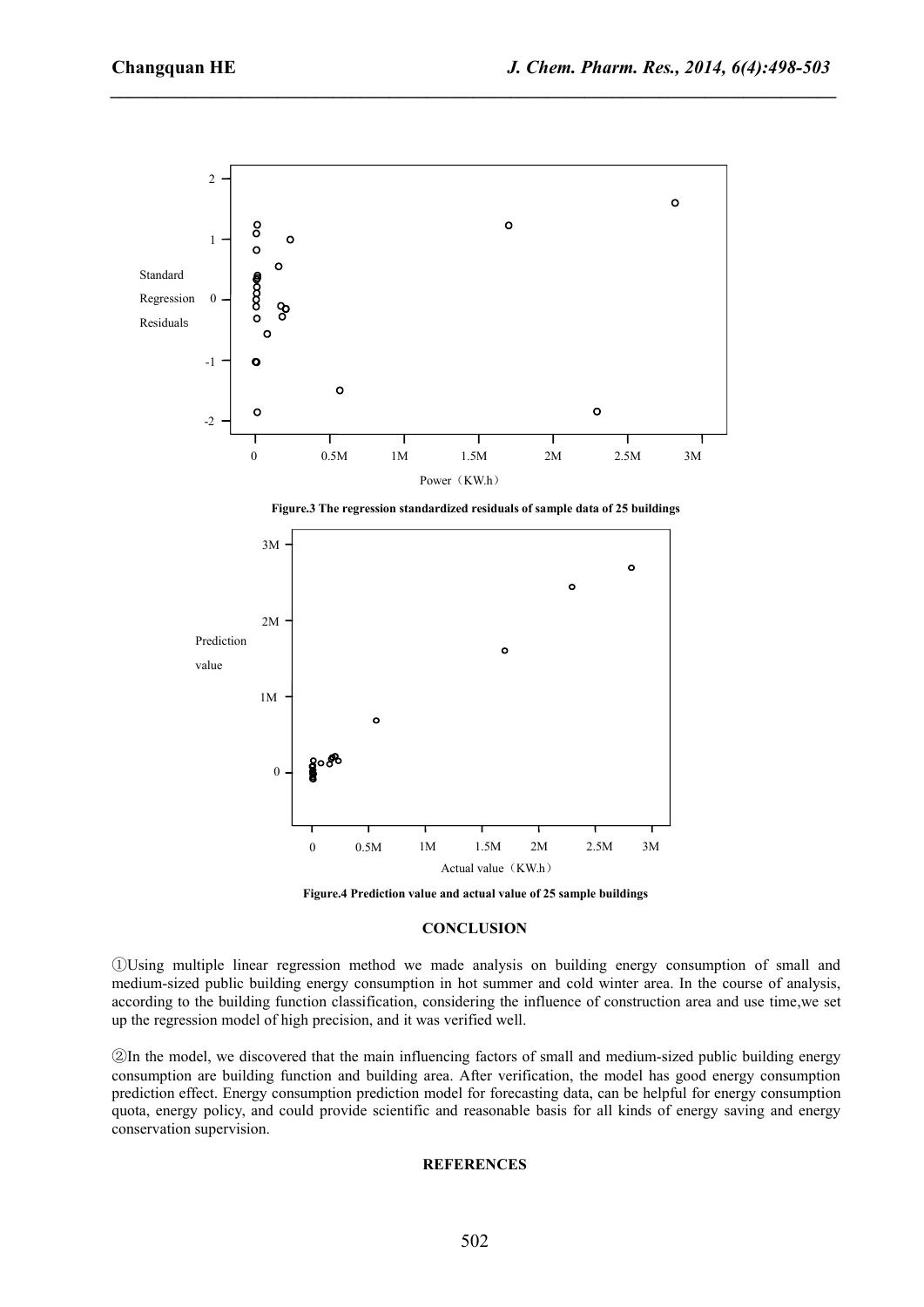*\_\_\_\_\_\_\_\_\_\_\_\_\_\_\_\_\_\_\_\_\_\_\_\_\_\_\_\_\_\_\_\_\_\_\_\_\_\_\_\_\_\_\_\_\_\_\_\_\_\_\_\_\_\_\_\_\_\_\_\_\_\_\_\_\_\_\_\_\_\_\_\_\_\_\_\_\_\_*





**Figure.4 Prediction value and actual value of 25 sample buildings**

#### **CONCLUSION**

①Using multiple linear regression method we made analysis on building energy consumption of small and medium-sized public building energy consumption in hot summer and cold winter area. In the course of analysis, according to the building function classification, considering the influence of construction area and use time,we set up the regression model of high precision, and it was verified well.

②In the model, we discovered that the main influencing factors of small and medium-sized public building energy consumption are building function and building area. After verification, the model has good energy consumption prediction effect. Energy consumption prediction model for forecasting data, can be helpful for energy consumption quota, energy policy, and could provide scientific and reasonable basis for all kinds of energy saving and energy conservation supervision.

### **REFERENCES**